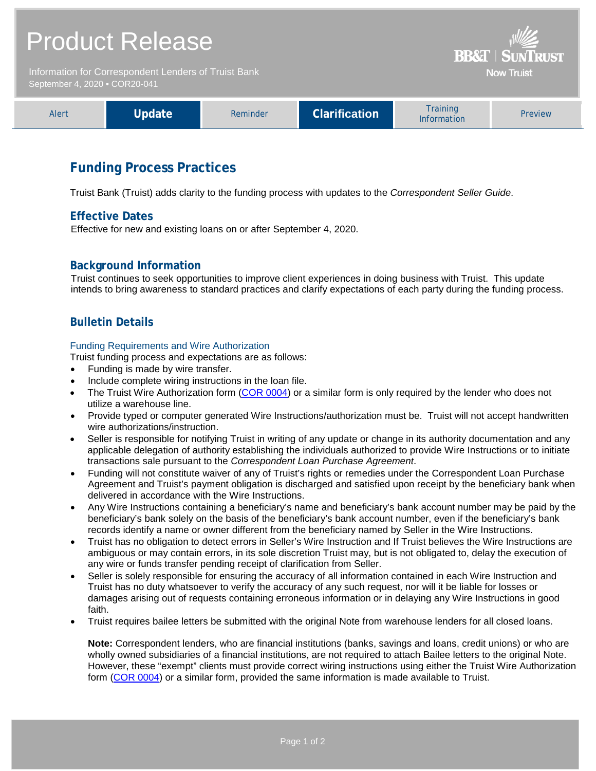| <b>Product Release</b>                                                                |        |          |                      | <b>BB&amp;T   SUNTRUST</b>     |         |
|---------------------------------------------------------------------------------------|--------|----------|----------------------|--------------------------------|---------|
| Information for Correspondent Lenders of Truist Bank<br>September 4, 2020 . COR20-041 |        |          | <b>Now Truist</b>    |                                |         |
| Alert                                                                                 | Update | Reminder | <b>Clarification</b> | <b>Training</b><br>Information | Preview |

# **Funding Process Practices**

Truist Bank (Truist) adds clarity to the funding process with updates to the *Correspondent Seller Guide*.

### **Effective Dates**

Effective for new and existing loans on or after September 4, 2020.

## **Background Information**

Truist continues to seek opportunities to improve client experiences in doing business with Truist. This update intends to bring awareness to standard practices and clarify expectations of each party during the funding process.

# **Bulletin Details**

#### Funding Requirements and Wire Authorization

Truist funding process and expectations are as follows:

- Funding is made by wire transfer.
- Include complete wiring instructions in the loan file.
- The Truist Wire Authorization form [\(COR 0004\)](http://www.truistsellerguide.com/manual/cor/forms/cor0004.pdf) or a similar form is only required by the lender who does not utilize a warehouse line.
- Provide typed or computer generated Wire Instructions/authorization must be. Truist will not accept handwritten wire authorizations/instruction.
- Seller is responsible for notifying Truist in writing of any update or change in its authority documentation and any applicable delegation of authority establishing the individuals authorized to provide Wire Instructions or to initiate transactions sale pursuant to the *Correspondent Loan Purchase Agreement*.
- Funding will not constitute waiver of any of Truist's rights or remedies under the Correspondent Loan Purchase Agreement and Truist's payment obligation is discharged and satisfied upon receipt by the beneficiary bank when delivered in accordance with the Wire Instructions.
- Any Wire Instructions containing a beneficiary's name and beneficiary's bank account number may be paid by the beneficiary's bank solely on the basis of the beneficiary's bank account number, even if the beneficiary's bank records identify a name or owner different from the beneficiary named by Seller in the Wire Instructions.
- Truist has no obligation to detect errors in Seller's Wire Instruction and If Truist believes the Wire Instructions are ambiguous or may contain errors, in its sole discretion Truist may, but is not obligated to, delay the execution of any wire or funds transfer pending receipt of clarification from Seller.
- Seller is solely responsible for ensuring the accuracy of all information contained in each Wire Instruction and Truist has no duty whatsoever to verify the accuracy of any such request, nor will it be liable for losses or damages arising out of requests containing erroneous information or in delaying any Wire Instructions in good faith.
- Truist requires bailee letters be submitted with the original Note from warehouse lenders for all closed loans.

**Note:** Correspondent lenders, who are financial institutions (banks, savings and loans, credit unions) or who are wholly owned subsidiaries of a financial institutions, are not required to attach Bailee letters to the original Note. However, these "exempt" clients must provide correct wiring instructions using either the Truist Wire Authorization form [\(COR 0004\)](http://www.truistsellerguide.com/manual/cor/forms/cor0004.pdf) or a similar form, provided the same information is made available to Truist.